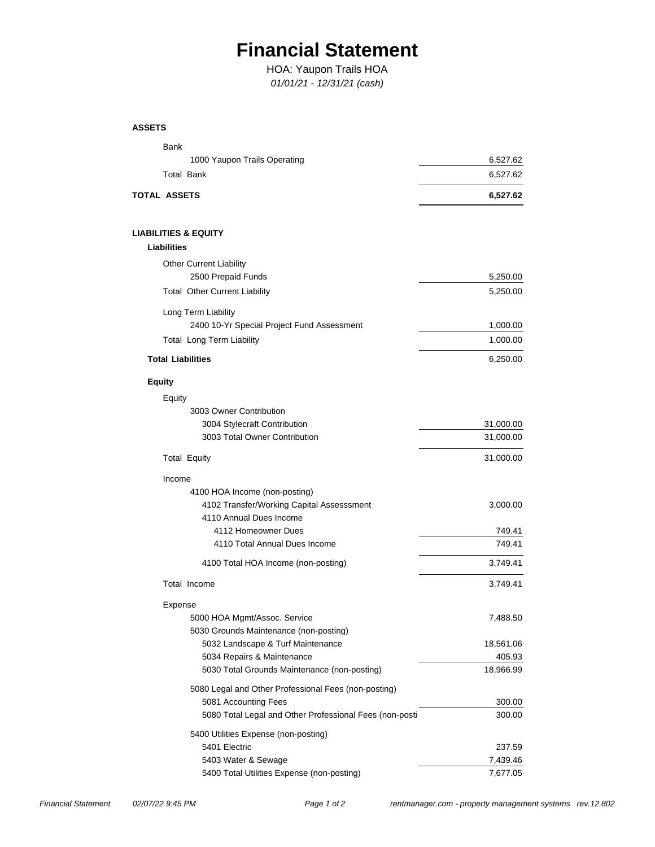## **Financial Statement**

## *01/01/21 - 12/31/21 (cash)* HOA: Yaupon Trails HOA

**ASSETS**

| <b>Bank</b>                                             |                    |
|---------------------------------------------------------|--------------------|
| 1000 Yaupon Trails Operating                            | 6,527.62           |
| <b>Total Bank</b>                                       | 6,527.62           |
| TOTAL ASSETS                                            | 6,527.62           |
| LIABILITIES & EQUITY                                    |                    |
| <b>Liabilities</b>                                      |                    |
| <b>Other Current Liability</b>                          |                    |
| 2500 Prepaid Funds                                      | 5,250.00           |
| <b>Total Other Current Liability</b>                    | 5,250.00           |
| Long Term Liability                                     |                    |
| 2400 10-Yr Special Project Fund Assessment              | 1,000.00           |
| <b>Total Long Term Liability</b>                        | 1,000.00           |
| <b>Total Liabilities</b>                                | 6,250.00           |
| <b>Equity</b>                                           |                    |
| Equity                                                  |                    |
| 3003 Owner Contribution                                 |                    |
| 3004 Stylecraft Contribution                            | 31,000.00          |
| 3003 Total Owner Contribution                           | 31,000.00          |
| <b>Total Equity</b>                                     | 31,000.00          |
| Income                                                  |                    |
| 4100 HOA Income (non-posting)                           |                    |
| 4102 Transfer/Working Capital Assesssment               | 3,000.00           |
| 4110 Annual Dues Income                                 |                    |
| 4112 Homeowner Dues                                     | 749.41             |
| 4110 Total Annual Dues Income                           | 749.41             |
| 4100 Total HOA Income (non-posting)                     | 3,749.41           |
| Total Income                                            | 3,749.41           |
| Expense                                                 |                    |
| 5000 HOA Mgmt/Assoc. Service                            | 7,488.50           |
| 5030 Grounds Maintenance (non-posting)                  |                    |
| 5032 Landscape & Turf Maintenance                       | 18,561.06          |
| 5034 Repairs & Maintenance                              | 405.93             |
| 5030 Total Grounds Maintenance (non-posting)            | 18,966.99          |
| 5080 Legal and Other Professional Fees (non-posting)    |                    |
| 5081 Accounting Fees                                    | 300.00             |
| 5080 Total Legal and Other Professional Fees (non-posti | 300.00             |
| 5400 Utilities Expense (non-posting)                    |                    |
| 5401 Electric<br>5403 Water & Sewage                    | 237.59<br>7,439.46 |
| 5400 Total Utilities Expense (non-posting)              | 7,677.05           |
|                                                         |                    |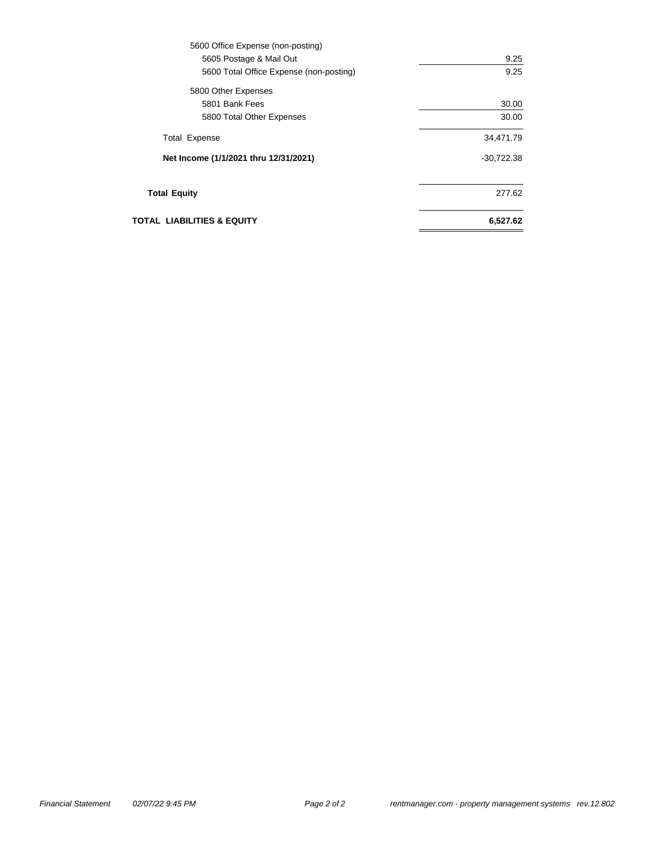| 5600 Office Expense (non-posting)       |              |
|-----------------------------------------|--------------|
| 5605 Postage & Mail Out                 | 9.25         |
| 5600 Total Office Expense (non-posting) | 9.25         |
| 5800 Other Expenses                     |              |
| 5801 Bank Fees                          | 30.00        |
| 5800 Total Other Expenses               | 30.00        |
| <b>Total Expense</b>                    | 34,471.79    |
| Net Income (1/1/2021 thru 12/31/2021)   | $-30,722.38$ |
| <b>Total Equity</b>                     | 277.62       |
| TOTAL  LIABILITIES & EQUITY             | 6,527.62     |
|                                         |              |